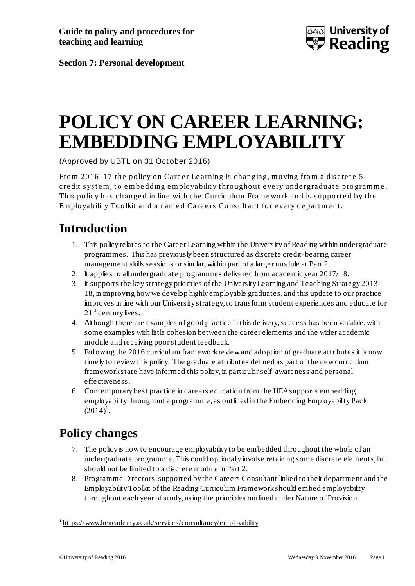

**Section 7: Personal development**

# **POLICY ON CAREER LEARNING: EMBEDDING EMPLOYABILITY**

(Approved by UBTL on 31 October 2016)

From 2016-17 the policy on Career Learning is changing, moving from a discrete 5cre dit system, to embedding employability throughout every undergraduate programme. This policy has changed in line with the Curriculum Framework and is supported by the Employability Toolkit and a named Careers Consultant for every department.

### **Introduction**

- 1. This policy relates to the Career Learning within the University of Reading within undergraduate programmes. This has previously been structured as discrete credit-bearing career management skills sessions or similar, within part of a larger module at Part 2.
- 2. It applies to all undergraduate programmes delivered from academic year 2017/18.
- 3. It supports the key strategy priorities of the University Learning and Teaching Strategy 2013- 18, in improving how we develop highly employable graduates, and this update to our practice improves in line with our University strategy, to transform student experiences and educate for  $21<sup>st</sup>$  century lives.
- 4. Although there are examples of good practice in this delivery, success has been variable, with some examples with little cohesion between the career elements and the wider academic module and receiving poor student feedback.
- 5. Following the 2016 curriculum framework review and adoption of graduate attributes it is now timely to review this policy. The graduate attributes defined as part of the new curriculum framework state have informed this policy, in particular self-awareness and personal effectiveness.
- 6. Contemporary best practice in careers education from the HEA supports embedding employability throughout a programme, as outlined in the Embedding Employability Pack  $(2014)^{1}$  $(2014)^{1}$  $(2014)^{1}$ .

#### **Policy changes**

- 7. The policy is now to encourage employability to be embedded throughout the whole of an undergraduate programme. This could optionally involve retaining some discrete elements, but should not be limited to a discrete module in Part 2.
- 8. Programme Directors, supported by the Careers Consultant linked to their department and the Employability Toolkit of the Reading Curriculum Framework should embed employability throughout each year of study, using the principles outlined under Nature of Provision.

<span id="page-0-0"></span> <sup>1</sup> <https://www.heacademy.ac.uk/services/consultancy/employability>